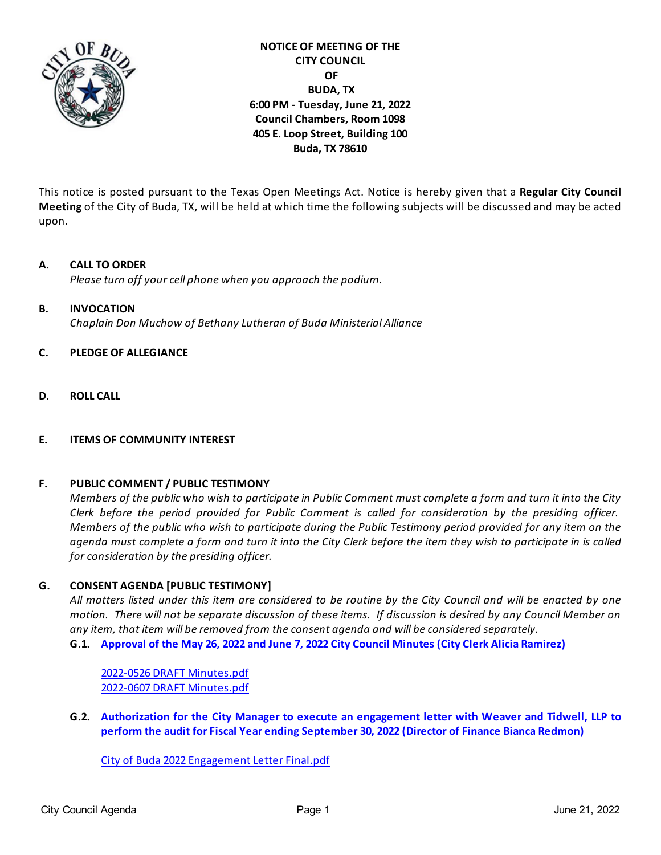

# **NOTICE OF MEETING OF THE CITY COUNCIL OF BUDA, TX 6:00 PM - Tuesday, June 21, 2022 Council Chambers, Room 1098 405 E. Loop Street, Building 100 Buda, TX 78610**

This notice is posted pursuant to the Texas Open Meetings Act. Notice is hereby given that a **Regular City Council Meeting** of the City of Buda, TX, will be held at which time the following subjects will be discussed and may be acted upon.

# **A. CALL TO ORDER**

*Please turn off your cell phone when you approach the podium.* 

### **B. INVOCATION**

*Chaplain Don Muchow of Bethany Lutheran of Buda Ministerial Alliance*

### **C. PLEDGE OF ALLEGIANCE**

**D. ROLL CALL** 

## **E. ITEMS OF COMMUNITY INTEREST**

## **F. PUBLIC COMMENT / PUBLIC TESTIMONY**

*Members of the public who wish to participate in Public Comment must complete a form and turn it into the City Clerk before the period provided for Public Comment is called for consideration by the presiding officer. Members of the public who wish to participate during the Public Testimony period provided for any item on the agenda must complete a form and turn it into the City Clerk before the item they wish to participate in is called for consideration by the presiding officer.*

## **G. CONSENT AGENDA [PUBLIC TESTIMONY]**

*All matters listed under this item are considered to be routine by the City Council and will be enacted by one motion. There will not be separate discussion of these items. If discussion is desired by any Council Member on any item, that item will be removed from the consent agenda and will be considered separately.* **G.1. [Approval of the May 26, 2022 and June 7, 2022 City Council Minutes \(City Clerk Alicia Ramirez\)](https://d2kbkoa27fdvtw.cloudfront.net/buda-tx/6b5556ed63d22609047748262ea7ae7e0.pdf)**

[2022-0526 DRAFT Minutes.pdf](https://legistarweb-production.s3.amazonaws.com/uploads/attachment/pdf/1432791/2022-0526_DRAFT_Minutes.pdf) [2022-0607 DRAFT Minutes.pdf](https://legistarweb-production.s3.amazonaws.com/uploads/attachment/pdf/1429947/2022-0607_DRAFT_Minutes.pdf)

**G.2. [Authorization for the City Manager to execute an engagement letter with Weaver and Tidwell, LLP to](https://d2kbkoa27fdvtw.cloudfront.net/buda-tx/b8696300d45434364feb6faac21b52950.pdf) [perform the audit for Fiscal Year ending September 30, 2022 \(Director of Finance Bianca Redmon\)](https://d2kbkoa27fdvtw.cloudfront.net/buda-tx/b8696300d45434364feb6faac21b52950.pdf)** 

[City of Buda 2022 Engagement Letter Final.pdf](https://legistarweb-production.s3.amazonaws.com/uploads/attachment/pdf/1402641/City_of_Buda_2022_Engagement_Letter_Final.pdf)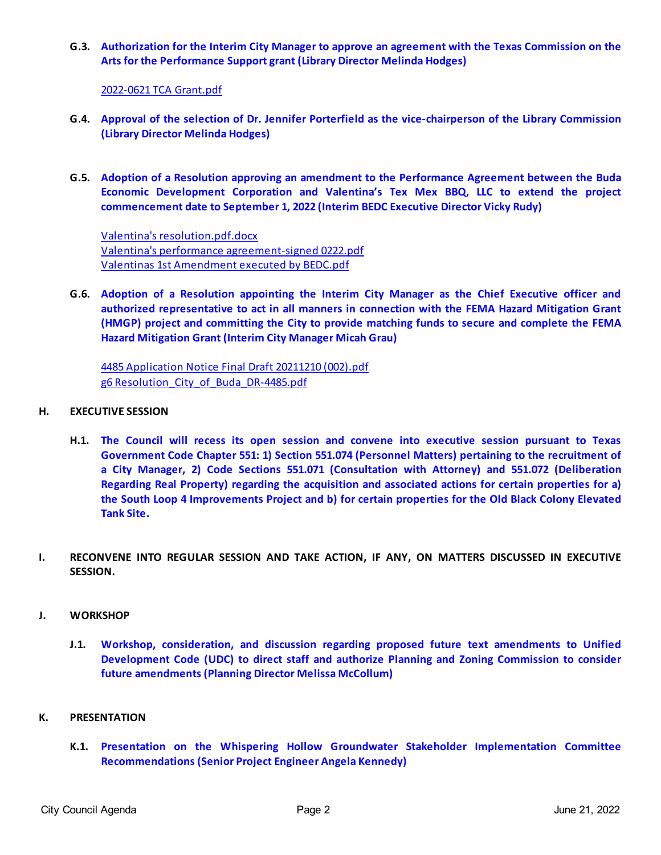**G.3. [Authorization for the Interim City Manager to approve an agreement with the Texas Commission on the](https://d2kbkoa27fdvtw.cloudfront.net/buda-tx/4090ab2249a9f6f5aa3d0f6bf7791bad0.pdf) [Arts for the Performance Support grant \(Library Director Melinda Hodges\)](https://d2kbkoa27fdvtw.cloudfront.net/buda-tx/4090ab2249a9f6f5aa3d0f6bf7791bad0.pdf)**

## [2022-0621 TCA Grant.pdf](https://legistarweb-production.s3.amazonaws.com/uploads/attachment/pdf/1424584/2022-0621_TCA_Grant.pdf)

- **G.4. [Approval of the selection of Dr. Jennifer Porterfield as the vice-chairperson of the Library Commission](https://d2kbkoa27fdvtw.cloudfront.net/buda-tx/085c850baba6ceaac7a2de6c158777ec0.pdf) [\(Library Director Melinda Hodges\)](https://d2kbkoa27fdvtw.cloudfront.net/buda-tx/085c850baba6ceaac7a2de6c158777ec0.pdf)**
- **G.5. [Adoption of a Resolution approving an amendment to the Performance Agreement between the Buda](https://d2kbkoa27fdvtw.cloudfront.net/buda-tx/2fac77e7baff1b1121e4836a389eed490.pdf) [Economic Development Corporation and Valentina's Tex Mex BBQ, LLC to extend the project](https://d2kbkoa27fdvtw.cloudfront.net/buda-tx/2fac77e7baff1b1121e4836a389eed490.pdf) [commencement date to September 1, 2022 \(Interim BEDC Executive Director Vicky Rudy\)](https://d2kbkoa27fdvtw.cloudfront.net/buda-tx/2fac77e7baff1b1121e4836a389eed490.pdf)**

[Valentina's resolution.pdf.docx](https://legistarweb-production.s3.amazonaws.com/uploads/attachment/pdf/1429975/Valentina_s_resolution.pdf.pdf) [Valentina's performance agreement-signed 0222.pdf](https://legistarweb-production.s3.amazonaws.com/uploads/attachment/pdf/1433835/Valentina_s_performance_agreement-signed_0222.pdf) [Valentinas 1st Amendment executed by BEDC.pdf](https://legistarweb-production.s3.amazonaws.com/uploads/attachment/pdf/1434231/Valentinas_1st_Amendment_executed_by_BEDC.pdf)

**G.6. [Adoption of a Resolution appointing the Interim City Manager as the Chief Executive officer and](https://d2kbkoa27fdvtw.cloudfront.net/buda-tx/268ca9448993b26dca8d8b85b7e0081e0.pdf) [authorized representative to act in all manners in connection with the FEMA Hazard Mitigation Grant](https://d2kbkoa27fdvtw.cloudfront.net/buda-tx/268ca9448993b26dca8d8b85b7e0081e0.pdf) [\(HMGP\) project and committing the City to provide matching funds to secure and complete the FEMA](https://d2kbkoa27fdvtw.cloudfront.net/buda-tx/268ca9448993b26dca8d8b85b7e0081e0.pdf) [Hazard Mitigation Grant \(Interim City Manager Micah Grau\)](https://d2kbkoa27fdvtw.cloudfront.net/buda-tx/268ca9448993b26dca8d8b85b7e0081e0.pdf)**

[4485 Application Notice Final Draft 20211210 \(002\).pdf](https://legistarweb-production.s3.amazonaws.com/uploads/attachment/pdf/1432930/4485_Application_Notice_Final_Draft_20211210__002_.pdf) [g6 Resolution\\_City\\_of\\_Buda\\_DR-4485.pdf](https://legistarweb-production.s3.amazonaws.com/uploads/attachment/pdf/1434417/g6_Resolution_City_of_Buda_DR-4485.pdf)

### **H. EXECUTIVE SESSION**

- **H.1. [The Council will recess its open session and convene into executive session pursuant to Texas](https://d2kbkoa27fdvtw.cloudfront.net/buda-tx/d89f9bd738ad74e84ee5c2a482d4c8660.pdf) [Government Code Chapter 551: 1\) Section 551.074 \(Personnel Matters\) pertaining to the recruitment of](https://d2kbkoa27fdvtw.cloudfront.net/buda-tx/d89f9bd738ad74e84ee5c2a482d4c8660.pdf) [a City Manager, 2\) Code Sections 551.071 \(Consultation with Attorney\) and 551.072 \(Deliberation](https://d2kbkoa27fdvtw.cloudfront.net/buda-tx/d89f9bd738ad74e84ee5c2a482d4c8660.pdf) [Regarding Real Property\) regarding the acquisition and associated actions for certain properties for a\)](https://d2kbkoa27fdvtw.cloudfront.net/buda-tx/d89f9bd738ad74e84ee5c2a482d4c8660.pdf) [the South Loop 4 Improvements Project and b\) for certain properties for the Old Black Colony Elevated](https://d2kbkoa27fdvtw.cloudfront.net/buda-tx/d89f9bd738ad74e84ee5c2a482d4c8660.pdf) [Tank Site.](https://d2kbkoa27fdvtw.cloudfront.net/buda-tx/d89f9bd738ad74e84ee5c2a482d4c8660.pdf)**
- **I. RECONVENE INTO REGULAR SESSION AND TAKE ACTION, IF ANY, ON MATTERS DISCUSSED IN EXECUTIVE SESSION.**

#### **J. WORKSHOP**

**J.1. [Workshop, consideration, and discussion regarding proposed future text amendments to Unified](https://d2kbkoa27fdvtw.cloudfront.net/buda-tx/eb4c4aa9fa3e36288d8a38fc243a96730.pdf) [Development Code \(UDC\) to direct staff and authorize Planning and Zoning Commission to consider](https://d2kbkoa27fdvtw.cloudfront.net/buda-tx/eb4c4aa9fa3e36288d8a38fc243a96730.pdf) [future amendments \(Planning Director Melissa McCollum\)](https://d2kbkoa27fdvtw.cloudfront.net/buda-tx/eb4c4aa9fa3e36288d8a38fc243a96730.pdf)**

#### **K. PRESENTATION**

**K.1. [Presentation on the Whispering Hollow Groundwater Stakeholder Implementation Committee](https://d2kbkoa27fdvtw.cloudfront.net/buda-tx/e4dd44e0483360efc8ded7bd7368d55a0.pdf) [Recommendations \(Senior Project Engineer Angela Kennedy\)](https://d2kbkoa27fdvtw.cloudfront.net/buda-tx/e4dd44e0483360efc8ded7bd7368d55a0.pdf)**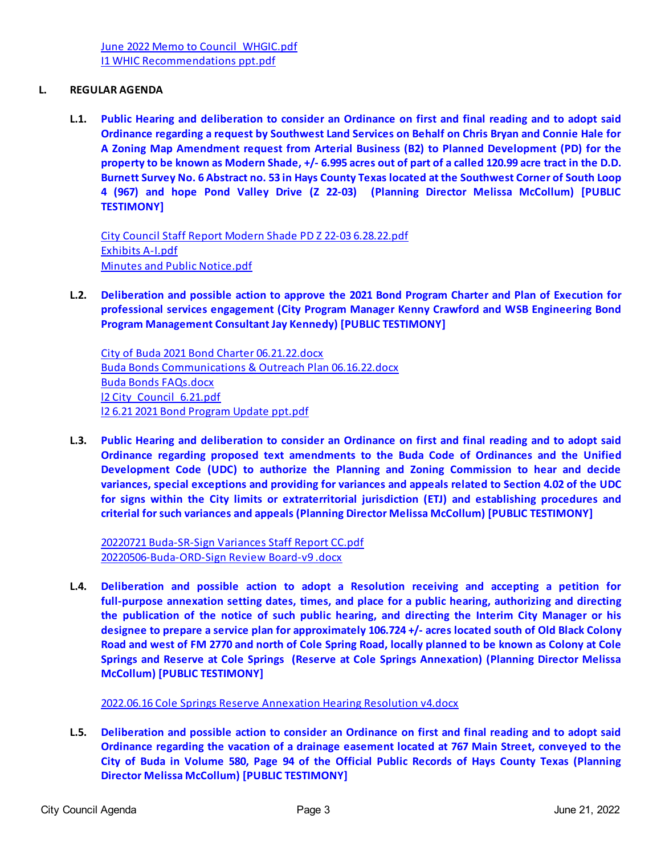## **L. REGULAR AGENDA**

**L.1. [Public Hearing and deliberation to consider an Ordinance on first and final reading and to adopt said](https://d2kbkoa27fdvtw.cloudfront.net/buda-tx/18ecb78a740a54268ff5d2c0410c55480.pdf) [Ordinance regarding a request by Southwest Land Services on Behalf on Chris Bryan and Connie Hale for](https://d2kbkoa27fdvtw.cloudfront.net/buda-tx/18ecb78a740a54268ff5d2c0410c55480.pdf) [A Zoning Map Amendment request from Arterial Business \(B2\) to Planned Development \(PD\) for the](https://d2kbkoa27fdvtw.cloudfront.net/buda-tx/18ecb78a740a54268ff5d2c0410c55480.pdf) [property to be known as Modern Shade, +/- 6.995 acres out of part of a called 120.99 acre tract in the D.D.](https://d2kbkoa27fdvtw.cloudfront.net/buda-tx/18ecb78a740a54268ff5d2c0410c55480.pdf) [Burnett Survey No. 6 Abstract no. 53 in Hays County Texas located at the Southwest Corner of South Loop](https://d2kbkoa27fdvtw.cloudfront.net/buda-tx/18ecb78a740a54268ff5d2c0410c55480.pdf) [4 \(967\) and hope Pond Valley Drive \(Z 22-03\) \(Planning Director Melissa McCollum\) \[PUBLIC](https://d2kbkoa27fdvtw.cloudfront.net/buda-tx/18ecb78a740a54268ff5d2c0410c55480.pdf) [TESTIMONY\]](https://d2kbkoa27fdvtw.cloudfront.net/buda-tx/18ecb78a740a54268ff5d2c0410c55480.pdf)** 

[City Council Staff Report Modern Shade PD Z 22-03 6.28.22.pdf](https://legistarweb-production.s3.amazonaws.com/uploads/attachment/pdf/1432205/City_Council_Staff_Report_Modern_Shade_PD_Z_22-03_6.28.22.pdf) [Exhibits A-I.pdf](https://legistarweb-production.s3.amazonaws.com/uploads/attachment/pdf/1433848/Exhibits_A-I.pdf) [Minutes and Public Notice.pdf](https://legistarweb-production.s3.amazonaws.com/uploads/attachment/pdf/1433849/Minutes_and_Public_Notice.pdf)

**L.2. [Deliberation and possible action to approve the 2021 Bond Program Charter and Plan of Execution for](https://d2kbkoa27fdvtw.cloudfront.net/buda-tx/071f7a0edf25aa87acc0375c473153560.pdf) [professional services engagement \(City Program Manager Kenny Crawford and WSB Engineering Bond](https://d2kbkoa27fdvtw.cloudfront.net/buda-tx/071f7a0edf25aa87acc0375c473153560.pdf) [Program Management Consultant Jay Kennedy\) \[PUBLIC TESTIMONY\]](https://d2kbkoa27fdvtw.cloudfront.net/buda-tx/071f7a0edf25aa87acc0375c473153560.pdf)**

[City of Buda 2021 Bond Charter 06.21.22.docx](https://legistarweb-production.s3.amazonaws.com/uploads/attachment/pdf/1433231/City_of_Buda_2021_Bond_Charter_06.21.22.pdf) [Buda Bonds Communications & Outreach Plan 06.16.22.docx](https://legistarweb-production.s3.amazonaws.com/uploads/attachment/pdf/1433234/Buda_Bonds_Communications___Outreach_Plan_06.16.22.pdf) [Buda Bonds FAQs.docx](https://legistarweb-production.s3.amazonaws.com/uploads/attachment/pdf/1433236/Buda_Bonds_FAQs.pdf) 12 City Council 6.21.pdf [l2 6.21 2021 Bond Program Update ppt.pdf](https://legistarweb-production.s3.amazonaws.com/uploads/attachment/pdf/1434762/l2_6.21_2021_Bond_Program_Update_ppt.pdf)

**L.3. [Public Hearing and deliberation to consider an Ordinance on first and final reading and to adopt said](https://d2kbkoa27fdvtw.cloudfront.net/buda-tx/8b492bcdcb7429f38057d4fce14456df0.pdf) [Ordinance regarding proposed text amendments to the Buda Code of Ordinances and the Unified](https://d2kbkoa27fdvtw.cloudfront.net/buda-tx/8b492bcdcb7429f38057d4fce14456df0.pdf) [Development Code \(UDC\) to authorize the Planning and Zoning Commission to hear and decide](https://d2kbkoa27fdvtw.cloudfront.net/buda-tx/8b492bcdcb7429f38057d4fce14456df0.pdf) [variances, special exceptions and providing for variances and appeals related to Section 4.02 of the UDC](https://d2kbkoa27fdvtw.cloudfront.net/buda-tx/8b492bcdcb7429f38057d4fce14456df0.pdf) [for signs within the City limits or extraterritorial jurisdiction \(ETJ\) and establishing procedures and](https://d2kbkoa27fdvtw.cloudfront.net/buda-tx/8b492bcdcb7429f38057d4fce14456df0.pdf) [criterial for such variances and appeals \(Planning Director Melissa McCollum\) \[PUBLIC TESTIMONY\]](https://d2kbkoa27fdvtw.cloudfront.net/buda-tx/8b492bcdcb7429f38057d4fce14456df0.pdf)**

[20220721 Buda-SR-Sign Variances Staff Report CC.pdf](https://legistarweb-production.s3.amazonaws.com/uploads/attachment/pdf/1432178/20220721_Buda-SR-Sign_Variances_Staff_Report_CC.pdf) [20220506-Buda-ORD-Sign Review Board-v9 .docx](https://legistarweb-production.s3.amazonaws.com/uploads/attachment/pdf/1432179/20220506-Buda-ORD-Sign_Review_Board-v9_.pdf)

**L.4. [Deliberation and possible action to adopt a Resolution receiving and accepting a petition for](https://d2kbkoa27fdvtw.cloudfront.net/buda-tx/fda613f60ae5da11e7d3e3cfbc9b77220.pdf) [full-purpose annexation setting dates, times, and place for a public hearing, authorizing and directing](https://d2kbkoa27fdvtw.cloudfront.net/buda-tx/fda613f60ae5da11e7d3e3cfbc9b77220.pdf) [the publication of the notice of such public hearing, and directing the Interim City Manager or his](https://d2kbkoa27fdvtw.cloudfront.net/buda-tx/fda613f60ae5da11e7d3e3cfbc9b77220.pdf) [designee to prepare a service plan for approximately 106.724 +/- acres located south of Old Black Colony](https://d2kbkoa27fdvtw.cloudfront.net/buda-tx/fda613f60ae5da11e7d3e3cfbc9b77220.pdf) [Road and west of FM 2770 and north of Cole Spring Road, locally planned to be known as Colony at Cole](https://d2kbkoa27fdvtw.cloudfront.net/buda-tx/fda613f60ae5da11e7d3e3cfbc9b77220.pdf) [Springs and Reserve at Cole Springs \(Reserve at Cole Springs Annexation\) \(Planning Director Melissa](https://d2kbkoa27fdvtw.cloudfront.net/buda-tx/fda613f60ae5da11e7d3e3cfbc9b77220.pdf) [McCollum\) \[PUBLIC TESTIMONY\]](https://d2kbkoa27fdvtw.cloudfront.net/buda-tx/fda613f60ae5da11e7d3e3cfbc9b77220.pdf)**

[2022.06.16 Cole Springs Reserve Annexation Hearing Resolution v4.docx](https://legistarweb-production.s3.amazonaws.com/uploads/attachment/pdf/1432910/2022.06.16_Cole_Springs_Reserve_Annexation_Hearing_Resolution_v4.pdf)

**L.5. [Deliberation and possible action to consider an Ordinance on first and final reading and to adopt said](https://d2kbkoa27fdvtw.cloudfront.net/buda-tx/43da39c47a59581a7559ad9b7d04fef30.pdf) [Ordinance regarding the vacation of a drainage easement located at 767 Main Street, conveyed to the](https://d2kbkoa27fdvtw.cloudfront.net/buda-tx/43da39c47a59581a7559ad9b7d04fef30.pdf) [City of Buda in Volume 580, Page 94 of the Official Public Records of Hays County Texas \(Planning](https://d2kbkoa27fdvtw.cloudfront.net/buda-tx/43da39c47a59581a7559ad9b7d04fef30.pdf) [Director Melissa McCollum\) \[PUBLIC TESTIMONY\]](https://d2kbkoa27fdvtw.cloudfront.net/buda-tx/43da39c47a59581a7559ad9b7d04fef30.pdf)**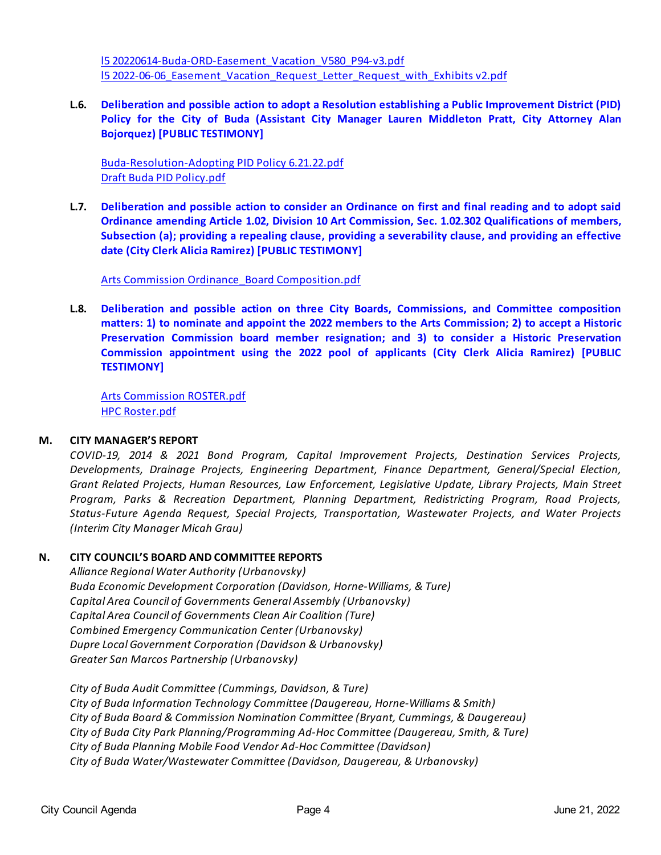[l5 20220614-Buda-ORD-Easement\\_Vacation\\_V580\\_P94-v3.pdf](https://legistarweb-production.s3.amazonaws.com/uploads/attachment/pdf/1434438/l5_20220614-Buda-ORD-Easement_Vacation_V580_P94-v3.pdf) [l5 2022-06-06\\_Easement\\_Vacation\\_Request\\_Letter\\_Request\\_with\\_Exhibits v2.pdf](https://legistarweb-production.s3.amazonaws.com/uploads/attachment/pdf/1434872/l5_2022-06-06_Easement_Vacation_Request_Letter_Request_with_Exhibits_v2.pdf)

**L.6. [Deliberation and possible action to adopt a Resolution establishing a Public Improvement District \(PID\)](https://d2kbkoa27fdvtw.cloudfront.net/buda-tx/9eb3d0a23d69b7dcc59f1da04258273f0.pdf) [Policy for the City of Buda \(Assistant City Manager Lauren Middleton Pratt, City Attorney Alan](https://d2kbkoa27fdvtw.cloudfront.net/buda-tx/9eb3d0a23d69b7dcc59f1da04258273f0.pdf) [Bojorquez\) \[PUBLIC TESTIMONY\]](https://d2kbkoa27fdvtw.cloudfront.net/buda-tx/9eb3d0a23d69b7dcc59f1da04258273f0.pdf)**

[Buda-Resolution-Adopting PID Policy 6.21.22.pdf](https://legistarweb-production.s3.amazonaws.com/uploads/attachment/pdf/1433211/Buda-Resolution-Adopting_PID_Policy_6.21.22.pdf) [Draft Buda PID Policy.pdf](https://legistarweb-production.s3.amazonaws.com/uploads/attachment/pdf/1433210/Buda_PID_Policy.pdf)

**L.7. [Deliberation and possible action to consider an Ordinance on first and final reading and to adopt said](https://d2kbkoa27fdvtw.cloudfront.net/buda-tx/0e36de3fe6beb29c2cf3bdf866960d090.pdf) [Ordinance amending Article 1.02, Division 10 Art Commission, Sec. 1.02.302 Qualifications of members,](https://d2kbkoa27fdvtw.cloudfront.net/buda-tx/0e36de3fe6beb29c2cf3bdf866960d090.pdf) [Subsection \(a\); providing a repealing clause, providing a severability clause, and providing an effective](https://d2kbkoa27fdvtw.cloudfront.net/buda-tx/0e36de3fe6beb29c2cf3bdf866960d090.pdf) [date \(City Clerk Alicia Ramirez\) \[PUBLIC TESTIMONY\]](https://d2kbkoa27fdvtw.cloudfront.net/buda-tx/0e36de3fe6beb29c2cf3bdf866960d090.pdf)**

[Arts Commission Ordinance\\_Board Composition.pdf](https://legistarweb-production.s3.amazonaws.com/uploads/attachment/pdf/1433763/Arts_Commission_Ordinance_Board_Composition.pdf)

**L.8. [Deliberation and possible action on three City Boards, Commissions, and Committee composition](https://d2kbkoa27fdvtw.cloudfront.net/buda-tx/b4e23b40b24d31d76cc53da415dd56320.pdf) [matters: 1\) to nominate and appoint the 2022 members to the Arts Commission; 2\) to accept a Historic](https://d2kbkoa27fdvtw.cloudfront.net/buda-tx/b4e23b40b24d31d76cc53da415dd56320.pdf) [Preservation Commission board member resignation; and 3\) to consider a Historic Preservation](https://d2kbkoa27fdvtw.cloudfront.net/buda-tx/b4e23b40b24d31d76cc53da415dd56320.pdf) [Commission appointment using the 2022 pool of applicants \(City Clerk Alicia Ramirez\) \[PUBLIC](https://d2kbkoa27fdvtw.cloudfront.net/buda-tx/b4e23b40b24d31d76cc53da415dd56320.pdf) [TESTIMONY\]](https://d2kbkoa27fdvtw.cloudfront.net/buda-tx/b4e23b40b24d31d76cc53da415dd56320.pdf)**

[Arts Commission ROSTER.pdf](https://legistarweb-production.s3.amazonaws.com/uploads/attachment/pdf/1434451/Arts_Commission_ROSTER.pdf) [HPC Roster.pdf](https://legistarweb-production.s3.amazonaws.com/uploads/attachment/pdf/1434486/HPC_Roster.pdf)

## **M. CITY MANAGER'S REPORT**

*COVID-19, 2014 & 2021 Bond Program, Capital Improvement Projects, Destination Services Projects, Developments, Drainage Projects, Engineering Department, Finance Department, General/Special Election, Grant Related Projects, Human Resources, Law Enforcement, Legislative Update, Library Projects, Main Street Program, Parks & Recreation Department, Planning Department, Redistricting Program, Road Projects, Status-Future Agenda Request, Special Projects, Transportation, Wastewater Projects, and Water Projects (Interim City Manager Micah Grau)*

## **N. CITY COUNCIL'S BOARD AND COMMITTEE REPORTS**

*Alliance Regional Water Authority (Urbanovsky) Buda Economic Development Corporation (Davidson, Horne-Williams, & Ture) Capital Area Council of Governments General Assembly (Urbanovsky) Capital Area Council of Governments Clean Air Coalition (Ture) Combined Emergency Communication Center (Urbanovsky) Dupre Local Government Corporation (Davidson & Urbanovsky) Greater San Marcos Partnership (Urbanovsky)*

*City of Buda Audit Committee (Cummings, Davidson, & Ture) City of Buda Information Technology Committee (Daugereau, Horne-Williams & Smith) City of Buda Board & Commission Nomination Committee (Bryant, Cummings, & Daugereau) City of Buda City Park Planning/Programming Ad-Hoc Committee (Daugereau, Smith, & Ture) City of Buda Planning Mobile Food Vendor Ad-Hoc Committee (Davidson) City of Buda Water/Wastewater Committee (Davidson, Daugereau, & Urbanovsky)*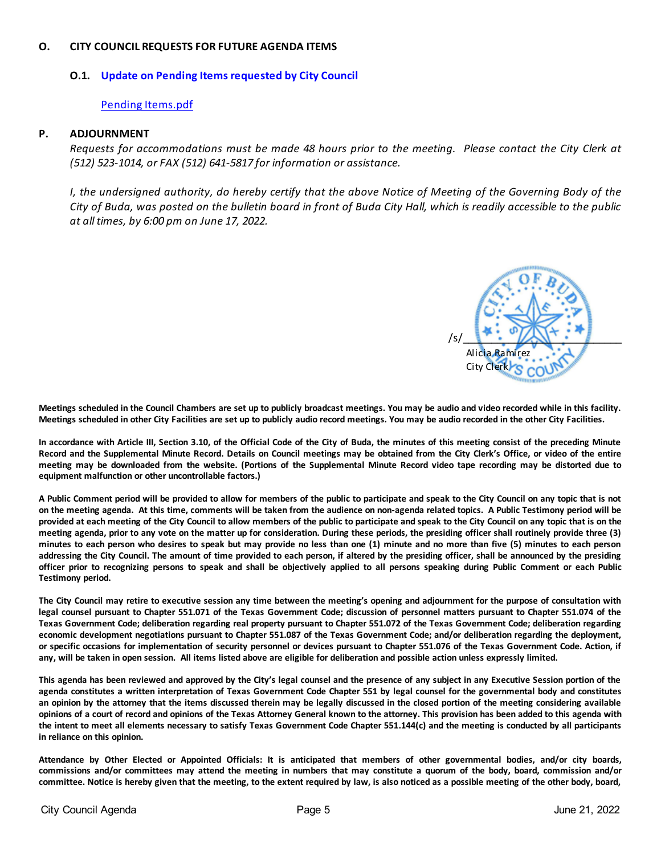### **O. CITY COUNCIL REQUESTS FOR FUTURE AGENDA ITEMS**

# **O.1. [Update on Pending Items requested by City Council](https://d2kbkoa27fdvtw.cloudfront.net/buda-tx/fa022b6d27d172d00aa6571d354d02550.pdf)**

### [Pending Items.pdf](https://legistarweb-production.s3.amazonaws.com/uploads/attachment/pdf/1430037/Pending_Items.pdf)

#### **P. ADJOURNMENT**

*Requests for accommodations must be made 48 hours prior to the meeting. Please contact the City Clerk at (512) 523-1014, or FAX (512) 641-5817 for information or assistance.* 

*I, the undersigned authority, do hereby certify that the above Notice of Meeting of the Governing Body of the City of Buda, was posted on the bulletin board in front of Buda City Hall, which is readily accessible to the public at all times, by 6:00 pm on June 17, 2022.*



**Meetings scheduled in the Council Chambers are set up to publicly broadcast meetings. You may be audio and video recorded while in this facility. Meetings scheduled in other City Facilities are set up to publicly audio record meetings. You may be audio recorded in the other City Facilities.**

**In accordance with Article III, Section 3.10, of the Official Code of the City of Buda, the minutes of this meeting consist of the preceding Minute Record and the Supplemental Minute Record. Details on Council meetings may be obtained from the City Clerk's Office, or video of the entire meeting may be downloaded from the website. (Portions of the Supplemental Minute Record video tape recording may be distorted due to equipment malfunction or other uncontrollable factors.)**

**A Public Comment period will be provided to allow for members of the public to participate and speak to the City Council on any topic that is not on the meeting agenda. At this time, comments will be taken from the audience on non-agenda related topics. A Public Testimony period will be provided at each meeting of the City Council to allow members of the public to participate and speak to the City Council on any topic that is on the meeting agenda, prior to any vote on the matter up for consideration. During these periods, the presiding officer shall routinely provide three (3) minutes to each person who desires to speak but may provide no less than one (1) minute and no more than five (5) minutes to each person addressing the City Council. The amount of time provided to each person, if altered by the presiding officer, shall be announced by the presiding officer prior to recognizing persons to speak and shall be objectively applied to all persons speaking during Public Comment or each Public Testimony period.**

**The City Council may retire to executive session any time between the meeting's opening and adjournment for the purpose of consultation with legal counsel pursuant to Chapter 551.071 of the Texas Government Code; discussion of personnel matters pursuant to Chapter 551.074 of the Texas Government Code; deliberation regarding real property pursuant to Chapter 551.072 of the Texas Government Code; deliberation regarding economic development negotiations pursuant to Chapter 551.087 of the Texas Government Code; and/or deliberation regarding the deployment, or specific occasions for implementation of security personnel or devices pursuant to Chapter 551.076 of the Texas Government Code. Action, if any, will be taken in open session. All items listed above are eligible for deliberation and possible action unless expressly limited.**

**This agenda has been reviewed and approved by the City's legal counsel and the presence of any subject in any Executive Session portion of the agenda constitutes a written interpretation of Texas Government Code Chapter 551 by legal counsel for the governmental body and constitutes an opinion by the attorney that the items discussed therein may be legally discussed in the closed portion of the meeting considering available opinions of a court of record and opinions of the Texas Attorney General known to the attorney. This provision has been added to this agenda with the intent to meet all elements necessary to satisfy Texas Government Code Chapter 551.144(c) and the meeting is conducted by all participants in reliance on this opinion.**

**Attendance by Other Elected or Appointed Officials: It is anticipated that members of other governmental bodies, and/or city boards, commissions and/or committees may attend the meeting in numbers that may constitute a quorum of the body, board, commission and/or committee. Notice is hereby given that the meeting, to the extent required by law, is also noticed as a possible meeting of the other body, board,**